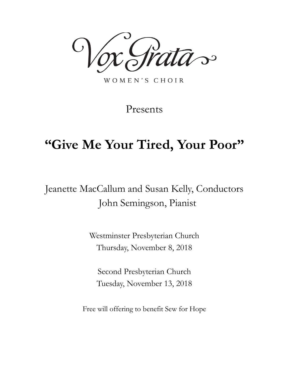ta v

WOMEN'S CHOIR

Presents

# **"Give Me Your Tired, Your Poor"**

Jeanette MacCallum and Susan Kelly, Conductors John Semingson, Pianist

> Westminster Presbyterian Church Thursday, November 8, 2018

Second Presbyterian Church Tuesday, November 13, 2018

Free will offering to benefit Sew for Hope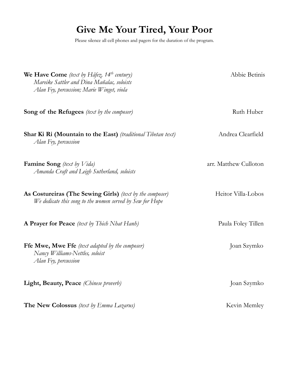# **Give Me Your Tired, Your Poor**

Please silence all cell phones and pagers for the duration of the program.

| <b>We Have Come</b> (text by Hâfez, $14$ <sup>th</sup> century)<br>Mareike Sattler and Dina Mañalac, soloists<br>Alan Fey, percussion; Marie Winget, viola | Abbie Betinis         |
|------------------------------------------------------------------------------------------------------------------------------------------------------------|-----------------------|
| <b>Song of the Refugees</b> (text by the composer)                                                                                                         | Ruth Huber            |
| <b>Shar Ki Ri (Mountain to the East)</b> (traditional Tibetan text)<br>Alan Fey, percussion                                                                | Andrea Clearfield     |
| <b>Famine Song</b> (text by Vida)<br>Amanda Craft and Leigh Sutherland, soloists                                                                           | arr. Matthew Culloton |
| As Costureiras (The Sewing Girls) (text by the composer)<br>We dedicate this song to the women served by Sew for Hope                                      | Heitor Villa-Lobos    |
| <b>A Prayer for Peace</b> (text by Thich Nhat Hanh)                                                                                                        | Paula Foley Tillen    |
| Ffe Mwe, Mwe Ffe (text adapted by the composer)<br>Nancy Williams-Nettles, soloist<br>Alan Fey, percussion                                                 | Joan Szymko           |
| <b>Light, Beauty, Peace</b> (Chinese proverb)                                                                                                              | Joan Szymko           |
| The New Colossus (text by Emma Lazarus)                                                                                                                    | Kevin Memley          |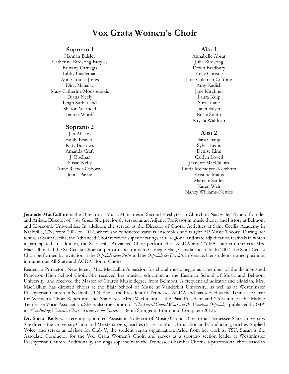# **Vox Grata Women's Choir**

#### **Soprano 1**

Hannah Baisley Catherine Birdsong Broyles Brittany Carnegis Libby Castleman Anne Louise Jones Dina Mañalac Mary Catherine Mousourakis Diana Neely Leigh Sutherland Sharon Warfield Jennye Woolf

#### **Soprano 2**

Jan Allison Emily Beavers Katy Burrows Amanda Craft Jj Ebelhar Susan Kelly Anne Reever-Osborne Jenna Payne

### **Alto 1**

Annabelle Absar Julie Birdsong Devin Bradbury Kelly Christie Jane-Coleman Cottone Amy Kadish Jane Kirchner Laura Kulp Suzie Lane Janet Salyer Rosie Smith Krysta Waldrop

## **Alto 2**

Sara Chang Sylvia Leins Denise Linn Caitlyn Lovell Jeanette MacCallum Linda McFadyen-Ketchum Kristine Mains Mareike Sattler Karen Weir Nancy Williams-Nettles

**Jeanette MacCallum** is the Director of Music Ministries at Second Presbyterian Church in Nashville, TN and founder and Artistic Director of *Vox Grata.* She previously served as an Adjunct Professor in music theory and history at Belmont and Lipscomb Universities. In addition, she served as the Director of Choral Activities at Saint Cecilia Academy in Nashville, TN, from 2002 to 2012, where she conducted various ensembles and taught AP Music Theory. During her tenure at Saint Cecilia, the Advanced Choir received superior ratings at all regional and state adjudication festivals in which it participated. In addition, the St. Cecilia Advanced Choir performed at ACDA and TMEA state conferences. Mrs. MacCallum led the St. Cecilia Choir on performance tours to Carnegie Hall, Canada and Italy. In 2007, the Saint Cecilia Choir performed by invitation at the *Ospedale della Pietà* and the *Ospedale dei Derelitti* in Venice. Her students earned positions in numerous All-State and ACDA Honor Choirs.

Reared in Princeton, New Jersey, Mrs. MacCallum's passion for choral music began as a member of the distinguished Princeton High School Choir. She received her musical education at the Eastman School of Music and Belmont University, and received the Master of Church Music degree from Belmont. A frequent adjudicator and clinician, Mrs. MacCallum has directed choirs at the Blair School of Music at Vanderbilt University, as well as at Westminster Presbyterian Church in Nashville, TN. She is the President of Tennessee ACDA and has served as the Tennessee Chair for Women's Choir Repertoire and Standards. Mrs. MacCallum is the Past President and Treasurer of the Middle Tennessee Vocal Association. She is also the author of *"The Sacred Choral Works of the Venetian Ospedali,"* published by GIA in *"Conducting Women's Choirs: Strategies for Success,"* Debra Spurgeon, Editor and Compiler (2012).

**Dr. Susan Kelly** was recently appointed Assistant Professor of Music/Choral Director at Tennessee State University. She directs the University Choir and Meistersingers, teaches classes in Music Education and Conducting, teaches Applied Voice, and serves as advisor for Club V, the student vegan organization. Aside from her work at TSU, Susan is the Associate Conductor for the Vox Grata Women's Choir, and serves as a soprano section leader at Westminster Presbyterian Church. Additionally, she sings soprano with the Tennessee Chamber Chorus, a professional choir based in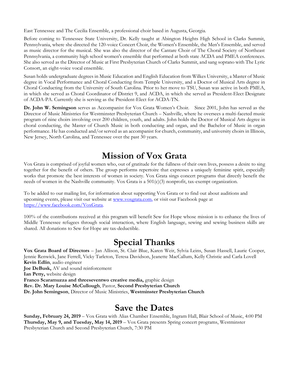East Tennessee and The Cecilia Ensemble, a professional choir based in Augusta, Georgia.

Before coming to Tennessee State University, Dr. Kelly taught at Abington Heights High School in Clarks Summit, Pennsylvania, where she directed the 120-voice Concert Choir, the Women's Ensemble, the Men's Ensemble, and served as music director for the musical. She was also the director of the Cantare Choir of The Choral Society of Northeast Pennsylvania, a community high school women's ensemble that performed at both state ACDA and PMEA conferences. She also served as the Director of Music at First Presbyterian Church of Clarks Summit, and sang soprano with The Lyric Consort, an eight-voice vocal ensemble.

Susan holds undergraduate degrees in Music Education and English Education from Wilkes University, a Master of Music degree in Vocal Performance and Choral Conducting from Temple University, and a Doctor of Musical Arts degree in Choral Conducting from the University of South Carolina. Prior to her move to TSU, Susan was active in both PMEA, in which she served as Choral Coordinator of District 9, and ACDA, in which she served as President-Elect Designate of ACDA-PA. Currently she is serving as the President-Elect for ACDA-TN.

**Dr. John W. Semingson** serves as Accompanist for Vox Grata Women's Choir. Since 2001, John has served as the Director of Music Ministries for Westminster Presbyterian Church – Nashville, where he oversees a multi-faceted music program of nine choirs involving over 200 children, youth, and adults. John holds the Doctor of Musical Arts degree in choral conducting, the Master of Church Music in both conducting and organ, and the Bachelor of Music in organ performance. He has conducted and/or served as an accompanist for church, community, and university choirs in Illinois, New Jersey, North Carolina, and Tennessee over the past 30 years.

# **Mission of Vox Grata**

Vox Grata is comprised of joyful women who, out of gratitude for the fullness of their own lives, possess a desire to sing together for the benefit of others. The group performs repertoire that expresses a uniquely feminine spirit, especially works that promote the best interests of women in society. Vox Grata sings concert programs that directly benefit the needs of women in the Nashville community. Vox Grata is a 501(c)(3) nonprofit, tax-exempt organization.

To be added to our mailing list, for information about supporting Vox Grata or to find out about auditions and upcoming events, please visit our website at [www.voxgrata.com,](http://www.voxgrata.com/) or visit our Facebook page at [https://www.facebook.com/VoxGrata.](https://www.facebook.com/VoxGrata)

100% of the contributions received at this program will benefit Sew for Hope whose mission is to enhance the lives of Middle Tennessee refugees through social interaction, where English language, sewing and sewing business skills are shared. All donations to Sew for Hope are tax-deductible.

# **Special Thanks**

**Vox Grata Board of Directors** – Jan Allison, St. Clair Blue, Karen Weir, Sylvia Leins, Susan Hassell, Laurie Cooper, Jennie Renwick, Jane Ferrell, Vicky Tarleton, Teresa Davidson, Jeanette MacCallum, Kelly Christie and Carla Lovell **Kevin Edlin**, audio engineer **Joe DeBusk,** AV and sound reinforcement **Ian Petty,** website design **Franco Scaramuzza and threeseventwo creative media,** graphic design **Rev. Dr. Mary Louise McCullough**, Pastor, **Second Presbyterian Church Dr. John Semingson**, Director of Music Ministries, **Westminster Presbyterian Church**

# **Save the Dates**

**Sunday, February 24, 2019** – Vox Grata with Alias Chamber Ensemble, Ingram Hall, Blair School of Music, 4:00 PM **Thursday, May 9, and Tuesday, May 14, 2019** – Vox Grata presents Spring concert programs, Westminster Presbyterian Church and Second Presbyterian Church, 7:30 PM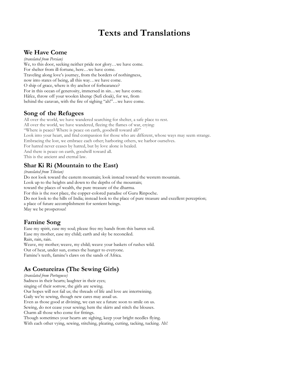# **Texts and Translations**

## **We Have Come**

*(translated from Persian)* We, to this door, seeking neither pride nor glory…we have come. For shelter from ill-fortune, here…we have come. Traveling along love's journey, from the borders of nothingness, now into states of being, all this way…we have come. O ship of grace, where is thy anchor of forbearance? For in this ocean of generosity, immersed in sin…we have come. Hâfez, throw off your woolen kherqe (Sufi cloak), for we, from behind the caravan, with the fire of sighing "ah!"…we have come.

## **Song of the Refugees**

All over the world, we have wandered searching for shelter, a safe place to rest. All over the world, we have wandered, fleeing the flames of war, crying: "Where is peace? Where is peace on earth, goodwill toward all?" Look into your heart, and find compassion for those who are different, whose ways may seem strange. Embracing the lost, we embrace each other; harboring others, we harbor ourselves. For hatred never ceases by hatred, but by love alone is healed. And there is peace on earth, goodwill toward all. This is the ancient and eternal law.

# **Shar Ki Ri (Mountain to the East)**

*(translated from Tibetan)*

Do not look toward the eastern mountain; look instead toward the western mountain. Look up to the heights and down to the depths of the mountain; toward the places of wealth, the pure treasure of the dharma. For this is the root place, the copper-colored paradise of Guru Rinpoche. Do not look to the hills of India; instead look to the place of pure treasure and excellent perception; a place of future accomplishment for sentient beings. May we be prosperous!

# **Famine Song**

Ease my spirit, ease my soul; please free my hands from this barren soil. Ease my mother, ease my child; earth and sky be reconciled. Rain, rain, rain.

Weave, my mother; weave, my child; weave your baskets of rushes wild. Out of heat, under sun, comes the hunger to everyone. Famine's teeth, famine's claws on the sands of Africa.

# **As Costureiras (The Sewing Girls)**

*(translated from Portuguese)* Sadness in their hearts; laughter in their eyes; singing of their sorrow, the girls are sewing. Our hopes will not fail us; the threads of life and love are intertwining. Gaily we're sewing, though new cares may assail us. Even as those good at divining, we can see a future soon to smile on us. Sewing, do not cease your sewing; hem the skirts and stitch the blouses. Charm all those who come for fittings. Though sometimes your hearts are sighing, keep your bright needles flying. With each other vying, sewing, stitching, pleating, cutting, tacking, tucking. Ah!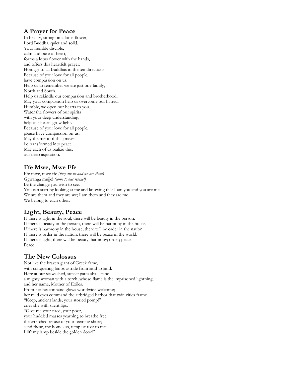## **A Prayer for Peace**

In beauty, sitting on a lotus flower, Lord Buddha, quiet and solid. Your humble disciple, calm and pure of heart, forms a lotus flower with the hands, and offers this heartfelt prayer: Homage to all Buddhas in the ten directions. Because of your love for all people, have compassion on us. Help us to remember we are just one family, North and South. Help us rekindle our compassion and brotherhood. May your compassion help us overcome our hatred. Humbly, we open our hearts to you. Water the flowers of our spirits with your deep understanding; help our hearts grow light. Because of your love for all people, please have compassion on us. May the merit of this prayer be transformed into peace. May each of us realize this, our deep aspiration.

# **Ffe Mwe, Mwe Ffe**

Ffe mwe, mwe ffe *(they are us and we are them)* Ggwanga mujje! *(come to our rescue!)* Be the change you wish to see. You can start by looking at me and knowing that I am you and you are me. We are them and they are we; I am them and they are me. We belong to each other.

# **Light, Beauty, Peace**

If there is light in the soul, there will be beauty in the person. If there is beauty in the person, there will be harmony in the house. If there is harmony in the house, there will be order in the nation. If there is order in the nation, there will be peace in the world. If there is light, there will be beauty; harmony; order; peace. Peace.

# **The New Colossus**

Not like the brazen giant of Greek fame, with conquering limbs astride from land to land. Here at our seawashed, sunset gates shall stand a mighty woman with a torch, whose flame is the imprisoned lightning, and her name, Mother of Exiles. From her beaconhand glows worldwide welcome; her mild eyes command the airbridged harbor that twin cities frame. "Keep, ancient lands, your storied pomp!" cries she with silent lips. "Give me your tired, your poor, your huddled masses yearning to breathe free, the wretched refuse of your teeming shore; send these, the homeless, tempest-tost to me. I lift my lamp beside the golden door!"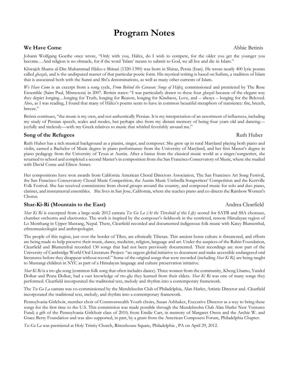# **Program Notes**

### **We Have Come Abbie Betinis**

Johann Wolfgang Goethe once wrote, "Only with you, Hâfez, do I wish to compete, for the older you get the younger you become…And religion is no obstacle, for if the word 'Islam' means to submit to God, we all live and die in Islam."

Khwajeh Shams al-Din Muhammad Hâfez-e Shirazi (1320-1390) was born in Shiraz, Persia (Iran). He wrote nearly 400 lyric poems called *ghazals*, and is the undisputed master of that particular poetic form. His mystical writing is based on Sufism, a tradition of Islam that is associated both with the Sunni and Shi'a denominations, as well as many other currents of Islam.

*We Have Come* is an excerpt from a song cycle, *From Behind the Caravan: Songs of Hâfez,* commissioned and premiered by The Rose Ensemble (Saint Paul, Minnesota) in 2007. Betinis states: "I was particularly drawn to these four *ghazals* because of the elegant way they depict longing…longing for Truth, longing for Reason, longing for Kindness, Love, and – always – longing for the Beloved. Also, as I was reading, I found that many of Hâfez's poems seem to have in common beautiful metaphors of transience: fire, breath, breeze."

Betinis continues, "the music is my own, and not authentically Persian. It is my interpretation of an assortment of influences, including my study of Persian speech, scales and modes, but perhaps also from my distant memory of being four years old and dancing joyfully and tirelessly—with my Greek relatives to music that whirled feverishly around me."

#### **Song of the Refugees Ruth Huber Ruth Huber Ruth Huber Ruth Huber Ruth Huber Ruth Huber Ruth Huber Ruth Huber Ruth Automobile 1999 Ruth Automobile 1999 Ruth Automobile 1999 Ruth Automobile 1999 Ru**

Ruth Huber has a rich musical background as a pianist, singer, and composer. She grew up in rural Maryland playing both piano and violin, earned a Bachelor of Music degree in piano performance from the University of Maryland, and her first Master's degree in piano pedagogy from the University of Texas at Austin. After a hiatus from the classical music world as a singer/songwriter, she returned to school and completed a second Master's in composition from the San Francisco Conservatory of Music, where she studied with David Conte and Elinor Armer.

Her compositions have won awards from California American Choral Directors Association, The San Francisco Art Song Festival, the San Francisco Conservatory Choral Music Competition, the Austin Music Umbrella Songwriters' Competition and the Kerrville Folk Festival. She has received commissions from choral groups around the country, and composed music for solo and duo piano, clarinet, and instrumental ensembles. She lives in San Jose, California, where she teaches piano and co-directs the Rainbow Women's Chorus.

#### **Shar-Ki-Ri (Mountain to the East) Andrea Clearfield Andrea Clearfield**

*Shar Ki Ri* is excerpted from a large-scale 2012 cantata *Tse Go La (At the Threshold of this Life)* scored for SATB and SSA choruses, chamber orchestra and electronics. The work is inspired by the composer's fieldwork in the restricted, remote Himalayan region of Lo Monthang in Upper Mustang, Nepal. There, Clearfield recorded and documented indigenous folk music with Katey Blumenthal, ethnomusicologist and anthropologist.

The people of this region, just over the border of Tibet, are ethnically Tibetan. This ancient horse culture is threatened, and efforts are being made to help preserve their music, dance, medicine, religion, language and art. Under the auspices of the Rubin Foundation, Clearfield and Blumenthal recorded 130 songs that had not been previously documented. Their recordings are now part of the University of Cambridge World Oral Literature Project: "an urgent global initiative to document and make accessible endangered oral literatures before they disappear without record." Some of the original songs that were recorded (including *Shar Ki Ri*) are being taught to Mustangi children in NYC as part of a Himalayan language and culture preservation initiative.

*Shar Ki Ri* is a tro-glu song (common folk song that often includes dance). Three women from the community, Kheng Lhamo, Yandol Dolkar and Pema Dolkar, had a vast knowledge of tro-glu they learned from their elders. *Shar Ki Ri* was one of many songs they performed. Clearfield incorporated the traditional text, melody and rhythm into a contemporary framework.

The *Tse Go La* cantata was co-commissioned by the Mendelssohn Club of Philadelphia, Alan Harler, Artistic Director and. Clearfield incorporated the traditional text, melody, and rhythm into a contemporary framework.

Pennsylvania Girlchoir, member choir of Commonwealth Youth choirs, Susan Ashbaker, Executive Director as a way to bring these songs for the first time to the U.S. This commission was made possible through the Mendelssohn Club Alan Harler New Ventures Fund; a gift of the Pennsylvania Girlchoir class of 2010; from Emilie Carr, in memory of Margaret Owen and the Archie W. and Grace Berry Foundation and was also supported, in part, by a grant from the American Composers Forum, Philadelphia Chapter.

*Tse Go La* was premiered at Holy Trinity Church, Rittenhouse Square, Philadelphia , PA on April 29, 2012.